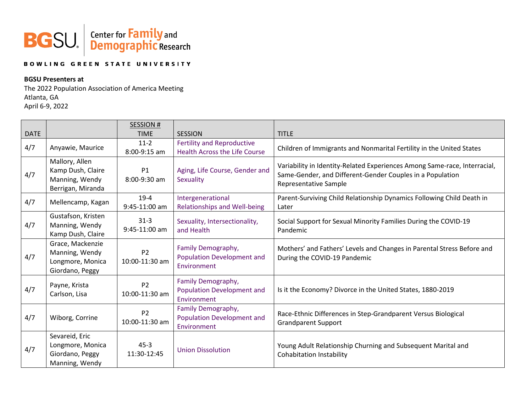

## **BOWLING GREEN STATE UNIVERSITY**

## **BGSU Presenters at**

The 2022 Population Association of America Meeting Atlanta, GA April 6-9, 2022

|             |                                                                            | <b>SESSION#</b>                  |                                                                           |                                                                                                                                                                 |
|-------------|----------------------------------------------------------------------------|----------------------------------|---------------------------------------------------------------------------|-----------------------------------------------------------------------------------------------------------------------------------------------------------------|
| <b>DATE</b> |                                                                            | <b>TIME</b>                      | <b>SESSION</b>                                                            | <b>TITLE</b>                                                                                                                                                    |
| 4/7         | Anyawie, Maurice                                                           | $11-2$<br>8:00-9:15 am           | <b>Fertility and Reproductive</b><br><b>Health Across the Life Course</b> | Children of Immigrants and Nonmarital Fertility in the United States                                                                                            |
| 4/7         | Mallory, Allen<br>Kamp Dush, Claire<br>Manning, Wendy<br>Berrigan, Miranda | P1<br>8:00-9:30 am               | Aging, Life Course, Gender and<br>Sexuality                               | Variability in Identity-Related Experiences Among Same-race, Interracial,<br>Same-Gender, and Different-Gender Couples in a Population<br>Representative Sample |
| 4/7         | Mellencamp, Kagan                                                          | $19-4$<br>9:45-11:00 am          | Intergenerational<br><b>Relationships and Well-being</b>                  | Parent-Surviving Child Relationship Dynamics Following Child Death in<br>Later                                                                                  |
| 4/7         | Gustafson, Kristen<br>Manning, Wendy<br>Kamp Dush, Claire                  | $31 - 3$<br>9:45-11:00 am        | Sexuality, Intersectionality,<br>and Health                               | Social Support for Sexual Minority Families During the COVID-19<br>Pandemic                                                                                     |
| 4/7         | Grace, Mackenzie<br>Manning, Wendy<br>Longmore, Monica<br>Giordano, Peggy  | P <sub>2</sub><br>10:00-11:30 am | Family Demography,<br><b>Population Development and</b><br>Environment    | Mothers' and Fathers' Levels and Changes in Parental Stress Before and<br>During the COVID-19 Pandemic                                                          |
| 4/7         | Payne, Krista<br>Carlson, Lisa                                             | P <sub>2</sub><br>10:00-11:30 am | Family Demography,<br><b>Population Development and</b><br>Environment    | Is it the Economy? Divorce in the United States, 1880-2019                                                                                                      |
| 4/7         | Wiborg, Corrine                                                            | P <sub>2</sub><br>10:00-11:30 am | Family Demography,<br><b>Population Development and</b><br>Environment    | Race-Ethnic Differences in Step-Grandparent Versus Biological<br><b>Grandparent Support</b>                                                                     |
| 4/7         | Sevareid, Eric<br>Longmore, Monica<br>Giordano, Peggy<br>Manning, Wendy    | $45 - 3$<br>11:30-12:45          | <b>Union Dissolution</b>                                                  | Young Adult Relationship Churning and Subsequent Marital and<br><b>Cohabitation Instability</b>                                                                 |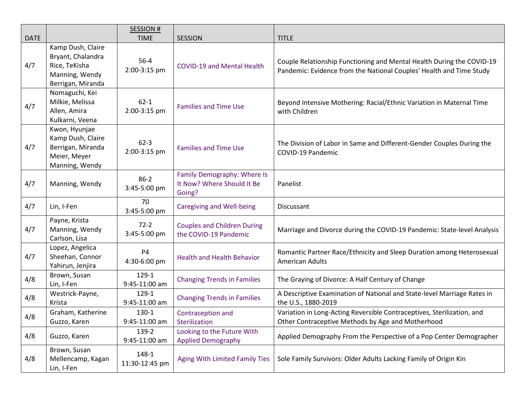|             |                                                                                                | <b>SESSION#</b>            |                                                                     |                                                                                                                                              |
|-------------|------------------------------------------------------------------------------------------------|----------------------------|---------------------------------------------------------------------|----------------------------------------------------------------------------------------------------------------------------------------------|
| <b>DATE</b> |                                                                                                | <b>TIME</b>                | <b>SESSION</b>                                                      | <b>TITLE</b>                                                                                                                                 |
| 4/7         | Kamp Dush, Claire<br>Bryant, Chalandra<br>Rice, TeKisha<br>Manning, Wendy<br>Berrigan, Miranda | $56 - 4$<br>2:00-3:15 pm   | <b>COVID-19 and Mental Health</b>                                   | Couple Relationship Functioning and Mental Health During the COVID-19<br>Pandemic: Evidence from the National Couples' Health and Time Study |
| 4/7         | Nomaguchi, Kei<br>Milkie, Melissa<br>Allen, Amira<br>Kulkarni, Veena                           | $62 - 1$<br>2:00-3:15 pm   | <b>Families and Time Use</b>                                        | Beyond Intensive Mothering: Racial/Ethnic Variation in Maternal Time<br>with Children                                                        |
| 4/7         | Kwon, Hyunjae<br>Kamp Dush, Claire<br>Berrigan, Miranda<br>Meier, Meyer<br>Manning, Wendy      | $62 - 3$<br>2:00-3:15 pm   | <b>Families and Time Use</b>                                        | The Division of Labor in Same and Different-Gender Couples During the<br>COVID-19 Pandemic                                                   |
| 4/7         | Manning, Wendy                                                                                 | $86 - 2$<br>3:45-5:00 pm   | Family Demography: Where Is<br>It Now? Where Should It Be<br>Going? | Panelist                                                                                                                                     |
| 4/7         | Lin, I-Fen                                                                                     | 70<br>3:45-5:00 pm         | <b>Caregiving and Well-being</b>                                    | Discussant                                                                                                                                   |
| 4/7         | Payne, Krista<br>Manning, Wendy<br>Carlson, Lisa                                               | $72 - 2$<br>3:45-5:00 pm   | <b>Couples and Children During</b><br>the COVID-19 Pandemic         | Marriage and Divorce during the COVID-19 Pandemic: State-level Analysis                                                                      |
| 4/7         | Lopez, Angelica<br>Sheehan, Connor<br>Yahirun, Jenjira                                         | <b>P4</b><br>4:30-6:00 pm  | <b>Health and Health Behavior</b>                                   | Romantic Partner Race/Ethnicity and Sleep Duration among Heterosexual<br><b>American Adults</b>                                              |
| 4/8         | Brown, Susan<br>Lin, I-Fen                                                                     | $129-1$<br>9:45-11:00 am   | <b>Changing Trends in Families</b>                                  | The Graying of Divorce: A Half Century of Change                                                                                             |
| 4/8         | Westrick-Payne,<br>Krista                                                                      | 129-1<br>9:45-11:00 am     | <b>Changing Trends in Families</b>                                  | A Descriptive Examination of National and State-level Marriage Rates in<br>the U.S., 1880-2019                                               |
| 4/8         | Graham, Katherine<br>Guzzo, Karen                                                              | $130 - 1$<br>9:45-11:00 am | Contraception and<br>Sterilization                                  | Variation in Long-Acting Reversible Contraceptives, Sterilization, and<br>Other Contraceptive Methods by Age and Motherhood                  |
| 4/8         | Guzzo, Karen                                                                                   | 139-2<br>9:45-11:00 am     | Looking to the Future With<br><b>Applied Demography</b>             | Applied Demography From the Perspective of a Pop Center Demographer                                                                          |
| 4/8         | Brown, Susan<br>Mellencamp, Kagan<br>Lin, I-Fen                                                | 148-1<br>11:30-12:45 pm    | Aging With Limited Family Ties                                      | Sole Family Survivors: Older Adults Lacking Family of Origin Kin                                                                             |